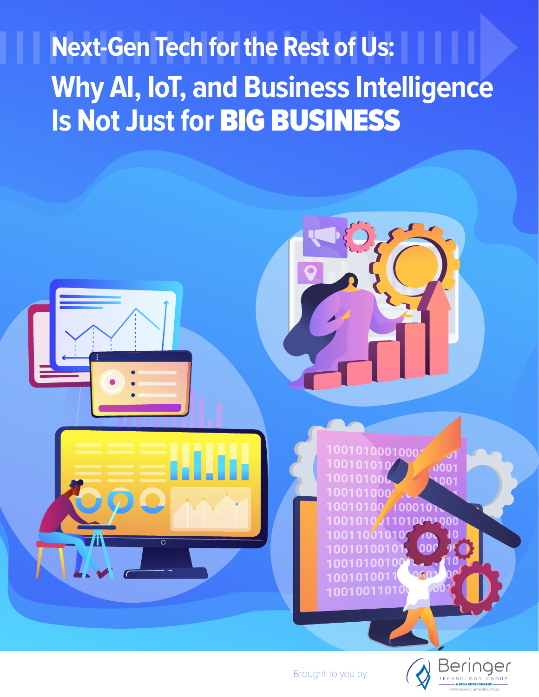# **Next-Gen Tech for the Rest of Us: Why AI, IoT, and Business Intelligence Is Not Just for** BIG BUSINESS



Brought to you by:

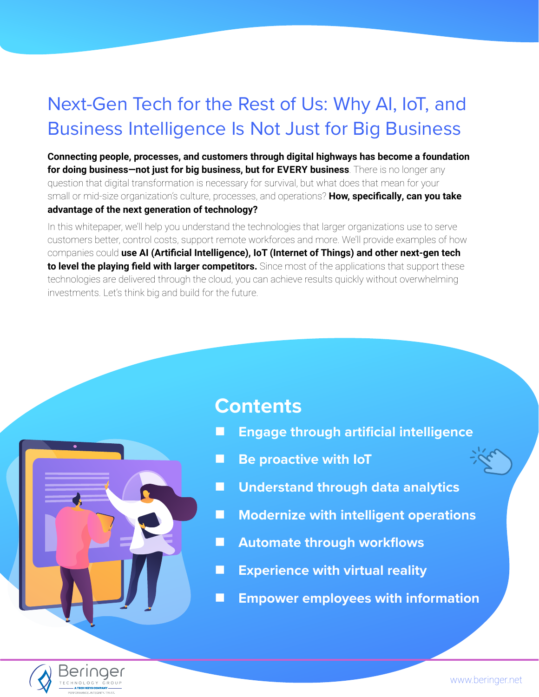# Next-Gen Tech for the Rest of Us: Why AI, IoT, and Business Intelligence Is Not Just for Big Business

**Connecting people, processes, and customers through digital highways has become a foundation for doing business—not just for big business, but for EVERY business**. There is no longer any question that digital transformation is necessary for survival, but what does that mean for your small or mid-size organization's culture, processes, and operations? **How, specifically, can you take advantage of the next generation of technology?**

In this whitepaper, we'll help you understand the technologies that larger organizations use to serve customers better, control costs, support remote workforces and more. We'll provide examples of how companies could **use AI (Artificial Intelligence), IoT (Internet of Things) and other next-gen tech to level the playing field with larger competitors.** Since most of the applications that support these technologies are delivered through the cloud, you can achieve results quickly without overwhelming investments. Let's think big and build for the future.



# **Contents**

- **[Engage through artificial intelligence](#page-2-0)**
- **Be proactive with loT**
- **[Understand through data analytics](#page-4-0)**
- **[Modernize with intelligent operations](#page-5-0)**
- **[Automate through workflows](#page-6-0)**
- **[Experience with virtual reality](#page-7-0)**
- **[Empower employees with information](#page-8-0)**

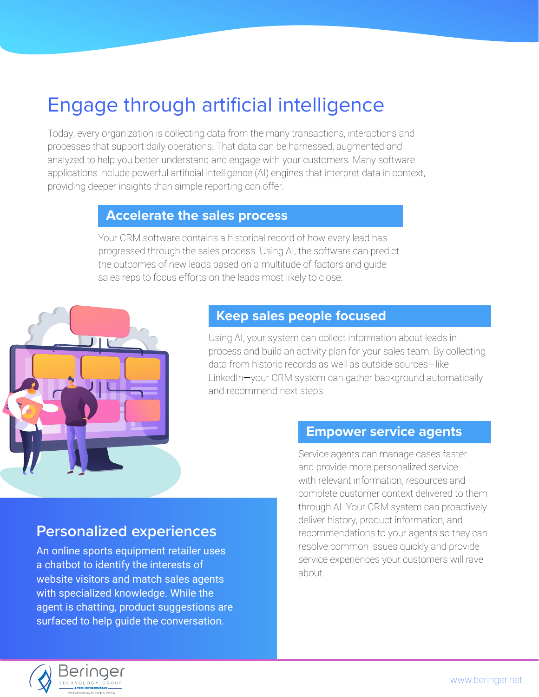# <span id="page-2-0"></span>Engage through artificial intelligence

Today, every organization is collecting data from the many transactions, interactions and processes that support daily operations. That data can be harnessed, augmented and analyzed to help you better understand and engage with your customers. Many software applications include powerful artificial intelligence (AI) engines that interpret data in context, providing deeper insights than simple reporting can offer.

#### **Accelerate the sales process**

Your CRM software contains a historical record of how every lead has progressed through the sales process. Using AI, the software can predict the outcomes of new leads based on a multitude of factors and guide sales reps to focus efforts on the leads most likely to close.



# **Keep sales people focused**

Using AI, your system can collect information about leads in process and build an activity plan for your sales team. By collecting data from historic records as well as outside sources—like LinkedIn-your CRM system can gather background automatically and recommend next steps.

### **Empower service agents**

Service agents can manage cases faster and provide more personalized service with relevant information, resources and complete customer context delivered to them through AI. Your CRM system can proactively deliver history, product information, and recommendations to your agents so they can resolve common issues quickly and provide service experiences your customers will rave about.

#### An online sports equipment retailer uses a chatbot to identify the interests of

**Personalized experiences**

website visitors and match sales agents with specialized knowledge. While the agent is chatting, product suggestions are surfaced to help guide the conversation.

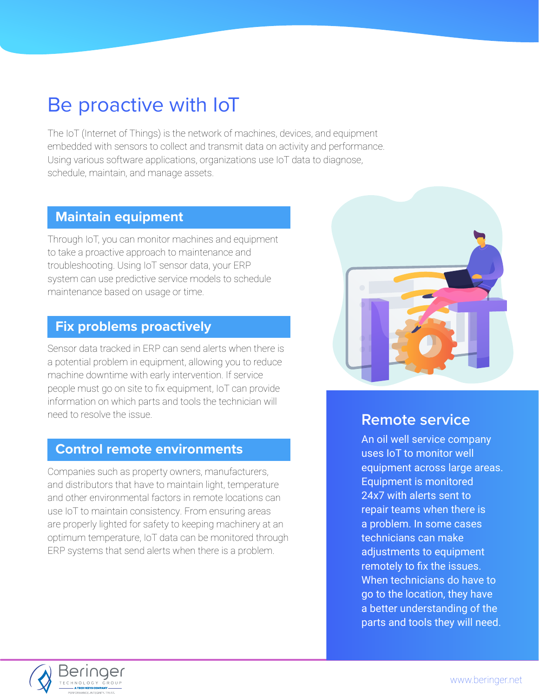# <span id="page-3-0"></span>Be proactive with IoT

The IoT (Internet of Things) is the network of machines, devices, and equipment embedded with sensors to collect and transmit data on activity and performance. Using various software applications, organizations use IoT data to diagnose, schedule, maintain, and manage assets.

### **Maintain equipment**

Through IoT, you can monitor machines and equipment to take a proactive approach to maintenance and troubleshooting. Using IoT sensor data, your ERP system can use predictive service models to schedule maintenance based on usage or time.

### **Fix problems proactively**

Sensor data tracked in ERP can send alerts when there is a potential problem in equipment, allowing you to reduce machine downtime with early intervention. If service people must go on site to fix equipment, IoT can provide information on which parts and tools the technician will need to resolve the issue.

### **Control remote environments**

Companies such as property owners, manufacturers, and distributors that have to maintain light, temperature and other environmental factors in remote locations can use IoT to maintain consistency. From ensuring areas are properly lighted for safety to keeping machinery at an optimum temperature, IoT data can be monitored through ERP systems that send alerts when there is a problem.



# **Remote service**

An oil well service company uses IoT to monitor well equipment across large areas. Equipment is monitored 24x7 with alerts sent to repair teams when there is a problem. In some cases technicians can make adjustments to equipment remotely to fix the issues. When technicians do have to go to the location, they have a better understanding of the parts and tools they will need.

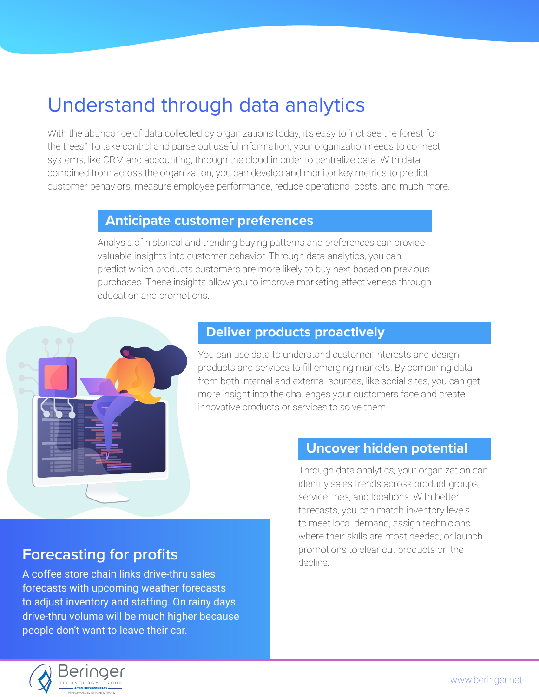# <span id="page-4-0"></span>Understand through data analytics

With the abundance of data collected by organizations today, it's easy to "not see the forest for the trees." To take control and parse out useful information, your organization needs to connect systems, like CRM and accounting, through the cloud in order to centralize data. With data combined from across the organization, you can develop and monitor key metrics to predict customer behaviors, measure employee performance, reduce operational costs, and much more.

### **Anticipate customer preferences**

Analysis of historical and trending buying patterns and preferences can provide valuable insights into customer behavior. Through data analytics, you can predict which products customers are more likely to buy next based on previous purchases. These insights allow you to improve marketing effectiveness through education and promotions.



### **Deliver products proactively**

You can use data to understand customer interests and design products and services to fill emerging markets. By combining data from both internal and external sources, like social sites, you can get more insight into the challenges your customers face and create innovative products or services to solve them.

### **Uncover hidden potential**

Through data analytics, your organization can identify sales trends across product groups, service lines, and locations. With better forecasts, you can match inventory levels to meet local demand, assign technicians where their skills are most needed, or launch promotions to clear out products on the decline.

# **Forecasting for profits**

A coffee store chain links drive-thru sales forecasts with upcoming weather forecasts to adjust inventory and staffing. On rainy days drive-thru volume will be much higher because people don't want to leave their car.

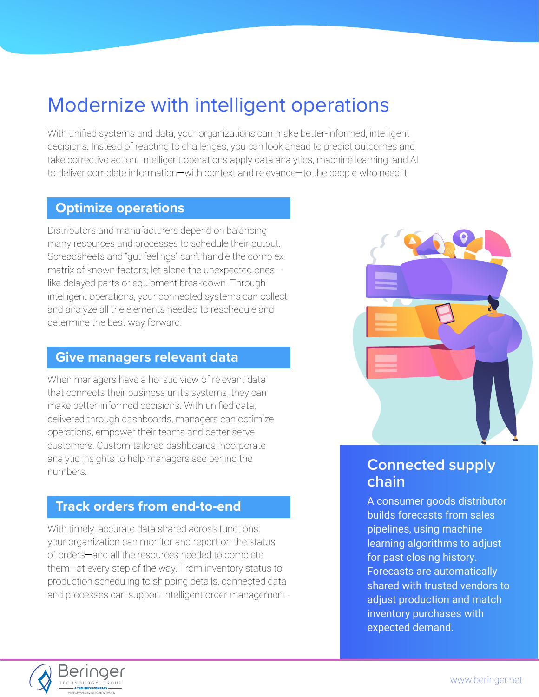# <span id="page-5-0"></span>Modernize with intelligent operations

With unified systems and data, your organizations can make better-informed, intelligent decisions. Instead of reacting to challenges, you can look ahead to predict outcomes and take corrective action. Intelligent operations apply data analytics, machine learning, and AI to deliver complete information—with context and relevance—to the people who need it.

### **Optimize operations**

Distributors and manufacturers depend on balancing many resources and processes to schedule their output. Spreadsheets and "gut feelings" can't handle the complex matrix of known factors, let alone the unexpected ones like delayed parts or equipment breakdown. Through intelligent operations, your connected systems can collect and analyze all the elements needed to reschedule and determine the best way forward.

### **Give managers relevant data**

When managers have a holistic view of relevant data that connects their business unit's systems, they can make better-informed decisions. With unified data, delivered through dashboards, managers can optimize operations, empower their teams and better serve customers. Custom-tailored dashboards incorporate analytic insights to help managers see behind the numbers.

# **Track orders from end-to-end**

With timely, accurate data shared across functions, your organization can monitor and report on the status of orders—and all the resources needed to complete them—at every step of the way. From inventory status to production scheduling to shipping details, connected data and processes can support intelligent order management.



# **Connected supply chain**

A consumer goods distributor builds forecasts from sales pipelines, using machine learning algorithms to adjust for past closing history. Forecasts are automatically shared with trusted vendors to adjust production and match inventory purchases with expected demand.

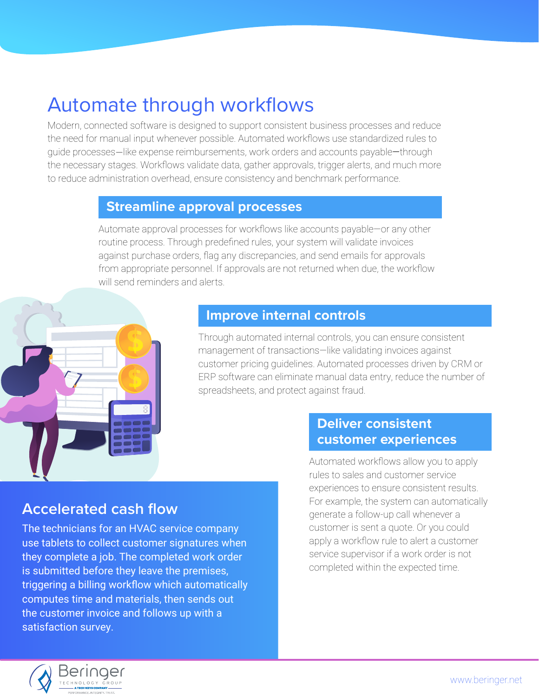# <span id="page-6-0"></span>Automate through workflows

Modern, connected software is designed to support consistent business processes and reduce the need for manual input whenever possible. Automated workflows use standardized rules to guide processes—like expense reimbursements, work orders and accounts payable—through the necessary stages. Workflows validate data, gather approvals, trigger alerts, and much more to reduce administration overhead, ensure consistency and benchmark performance.

### **Streamline approval processes**

Automate approval processes for workflows like accounts payable—or any other routine process. Through predefined rules, your system will validate invoices against purchase orders, flag any discrepancies, and send emails for approvals from appropriate personnel. If approvals are not returned when due, the workflow will send reminders and alerts.



# **Improve internal controls**

Through automated internal controls, you can ensure consistent management of transactions—like validating invoices against customer pricing guidelines. Automated processes driven by CRM or ERP software can eliminate manual data entry, reduce the number of spreadsheets, and protect against fraud.

# **Deliver consistent customer experiences**

# **Accelerated cash flow**

The technicians for an HVAC service company use tablets to collect customer signatures when they complete a job. The completed work order is submitted before they leave the premises, triggering a billing workflow which automatically computes time and materials, then sends out the customer invoice and follows up with a satisfaction survey.

Automated workflows allow you to apply rules to sales and customer service experiences to ensure consistent results. For example, the system can automatically generate a follow-up call whenever a customer is sent a quote. Or you could apply a workflow rule to alert a customer service supervisor if a work order is not completed within the expected time.

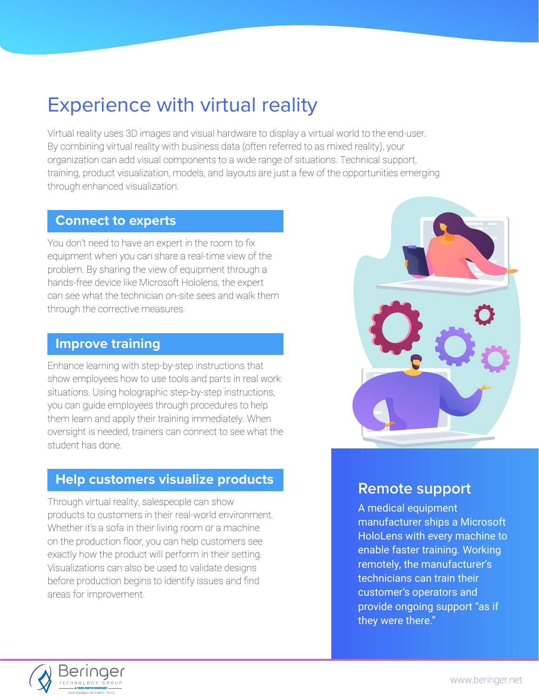# <span id="page-7-0"></span>Experience with virtual reality

Virtual reality uses 3D images and visual hardware to display a virtual world to the end-user. By combining virtual reality with business data (often referred to as mixed reality), your organization can add visual components to a wide range of situations. Technical support, training, product visualization, models, and layouts are just a few of the opportunities emerging through enhanced visualization.

### **Connect to experts**

You don't need to have an expert in the room to fix equipment when you can share a real-time view of the problem. By sharing the view of equipment through a hands-free device like Microsoft Hololens, the expert can see what the technician on-site sees and walk them through the corrective measures.

# **Improve training**

Enhance learning with step-by-step instructions that show employees how to use tools and parts in real work situations. Using holographic step-by-step instructions, you can guide employees through procedures to help them learn and apply their training immediately. When oversight is needed, trainers can connect to see what the student has done.

# **Help customers visualize products**

Through virtual reality, salespeople can show products to customers in their real-world environment. Whether it's a sofa in their living room or a machine on the production floor, you can help customers see exactly how the product will perform in their setting. Visualizations can also be used to validate designs before production begins to identify issues and find areas for improvement.



# **Remote support**

A medical equipment manufacturer ships a Microsoft HoloLens with every machine to enable faster training. Working remotely, the manufacturer's technicians can train their customer's operators and provide ongoing support "as if they were there."

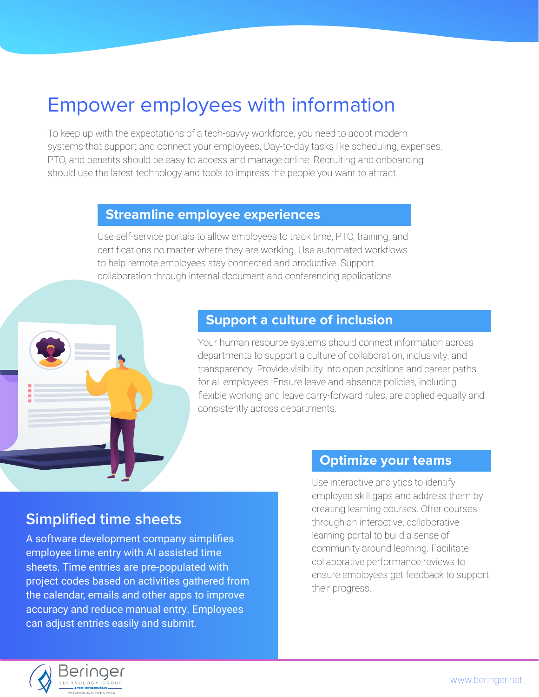# <span id="page-8-0"></span>Empower employees with information

To keep up with the expectations of a tech-savvy workforce, you need to adopt modern systems that support and connect your employees. Day-to-day tasks like scheduling, expenses, PTO, and benefits should be easy to access and manage online. Recruiting and onboarding should use the latest technology and tools to impress the people you want to attract.

### **Streamline employee experiences**

Use self-service portals to allow employees to track time, PTO, training, and certifications no matter where they are working. Use automated workflows to help remote employees stay connected and productive. Support collaboration through internal document and conferencing applications.



Your human resource systems should connect information across departments to support a culture of collaboration, inclusivity, and transparency. Provide visibility into open positions and career paths for all employees. Ensure leave and absence policies, including flexible working and leave carry-forward rules, are applied equally and consistently across departments.

# **Simplified time sheets**

A software development company simplifies employee time entry with AI assisted time sheets. Time entries are pre-populated with project codes based on activities gathered from the calendar, emails and other apps to improve accuracy and reduce manual entry. Employees can adjust entries easily and submit.

### **Optimize your teams**

Use interactive analytics to identify employee skill gaps and address them by creating learning courses. Offer courses through an interactive, collaborative learning portal to build a sense of community around learning. Facilitate collaborative performance reviews to ensure employees get feedback to support their progress.

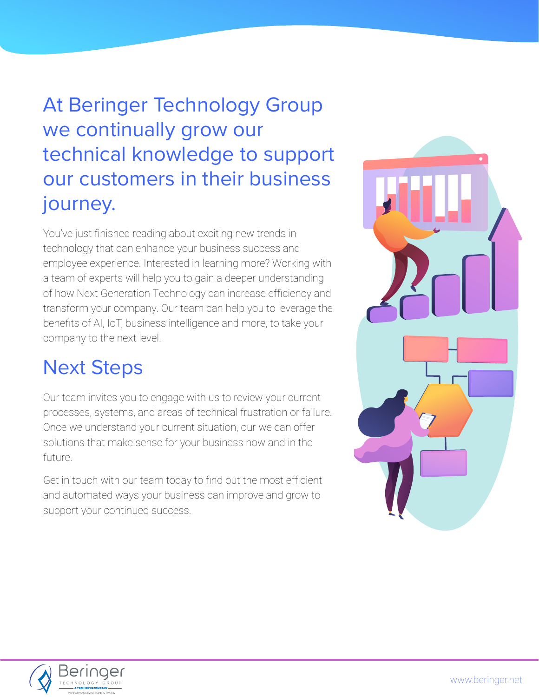# At Beringer Technology Group we continually grow our technical knowledge to support our customers in their business journey.

You've just finished reading about exciting new trends in technology that can enhance your business success and employee experience. Interested in learning more? Working with a team of experts will help you to gain a deeper understanding of how Next Generation Technology can increase efficiency and transform your company. Our team can help you to leverage the benefits of AI, IoT, business intelligence and more, to take your company to the next level.

# Next Steps

Our team invites you to engage with us to review your current processes, systems, and areas of technical frustration or failure. Once we understand your current situation, our we can offer solutions that make sense for your business now and in the future.

Get in touch with our team today to find out the most efficient and automated ways your business can improve and grow to support your continued success.